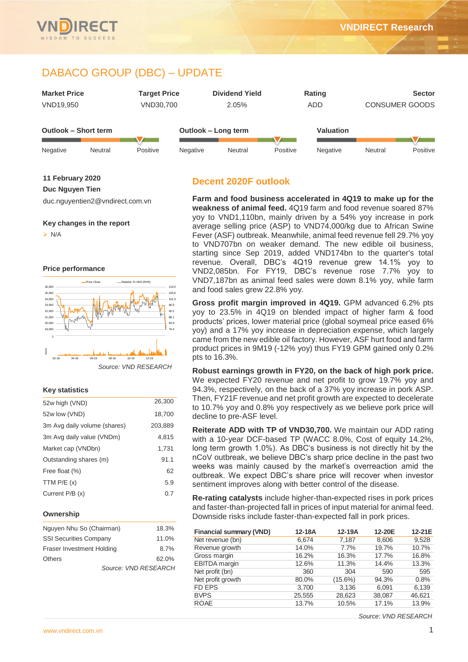# DABACO GROUP (DBC) – UPDATE



**11 February 2020**

**Duc Nguyen Tien**

duc.nguyentien2@vndirect.com.vn

**Key changes in the report**

 $> N/A$ 

**Price performance**



#### **Key statistics**

| 52w high (VND)               | 26,300  |
|------------------------------|---------|
| 52w low (VND)                | 18,700  |
| 3m Avg daily volume (shares) | 203,889 |
| 3m Avg daily value (VNDm)    | 4.815   |
| Market cap (VNDbn)           | 1.731   |
| Outstanding shares (m)       | 91.1    |
| Free float (%)               | 62      |
| TTM $P/E(x)$                 | 5.9     |
| Current $P/B(x)$             | 0.7     |
|                              |         |

#### **Ownership**

| Nguyen Nhu So (Chairman)         | 18.3% |
|----------------------------------|-------|
| <b>SSI Securities Company</b>    | 11.0% |
| <b>Fraser Investment Holding</b> | 8.7%  |
| <b>Others</b>                    | 62.0% |
| Source: VND RESEARCH             |       |

# **Decent 2020F outlook**

**Farm and food business accelerated in 4Q19 to make up for the weakness of animal feed.** 4Q19 farm and food revenue soared 87% yoy to VND1,110bn, mainly driven by a 54% yoy increase in pork average selling price (ASP) to VND74,000/kg due to African Swine Fever (ASF) outbreak. Meanwhile, animal feed revenue fell 29.7% yoy to VND707bn on weaker demand. The new edible oil business, starting since Sep 2019, added VND174bn to the quarter's total revenue. Overall, DBC's 4Q19 revenue grew 14.1% yoy to VND2,085bn. For FY19, DBC's revenue rose 7.7% yoy to VND7,187bn as animal feed sales were down 8.1% yoy, while farm and food sales grew 22.8% yoy.

**Gross profit margin improved in 4Q19.** GPM advanced 6.2% pts yoy to 23.5% in 4Q19 on blended impact of higher farm & food products' prices, lower material price (global soymeal price eased 6% yoy) and a 17% yoy increase in depreciation expense, which largely came from the new edible oil factory. However, ASF hurt food and farm product prices in 9M19 (-12% yoy) thus FY19 GPM gained only 0.2% pts to 16.3%.

**Robust earnings growth in FY20, on the back of high pork price.** We expected FY20 revenue and net profit to grow 19.7% yoy and 94.3%, respectively, on the back of a 37% yoy increase in pork ASP. Then, FY21F revenue and net profit growth are expected to decelerate to 10.7% yoy and 0.8% yoy respectively as we believe pork price will decline to pre-ASF level.

**Reiterate ADD with TP of VND30,700.** We maintain our ADD rating with a 10-year DCF-based TP (WACC 8.0%, Cost of equity 14.2%, long term growth 1.0%). As DBC's business is not directly hit by the nCoV outbreak, we believe DBC's sharp price decline in the past two weeks was mainly caused by the market's overreaction amid the outbreak. We expect DBC's share price will recover when investor sentiment improves along with better control of the disease.

**Re-rating catalysts** include higher-than-expected rises in pork prices and faster-than-projected fall in prices of input material for animal feed. Downside risks include faster-than-expected fall in pork prices.

| <b>Financial summary (VND)</b> | 12-18A | 12-19A     | 12-20E | 12-21E |
|--------------------------------|--------|------------|--------|--------|
| Net revenue (bn)               | 6.674  | 7,187      | 8,606  | 9,528  |
| Revenue growth                 | 14.0%  | 7.7%       | 19.7%  | 10.7%  |
| Gross margin                   | 16.2%  | 16.3%      | 17.7%  | 16.8%  |
| EBITDA margin                  | 12.6%  | 11.3%      | 14.4%  | 13.3%  |
| Net profit (bn)                | 360    | 304        | 590    | 595    |
| Net profit growth              | 80.0%  | $(15.6\%)$ | 94.3%  | 0.8%   |
| <b>FD EPS</b>                  | 3,700  | 3,136      | 6,091  | 6,139  |
| <b>BVPS</b>                    | 25,555 | 28,623     | 38,087 | 46,621 |
| <b>ROAE</b>                    | 13.7%  | 10.5%      | 17.1%  | 13.9%  |

*Source: VND RESEARCH*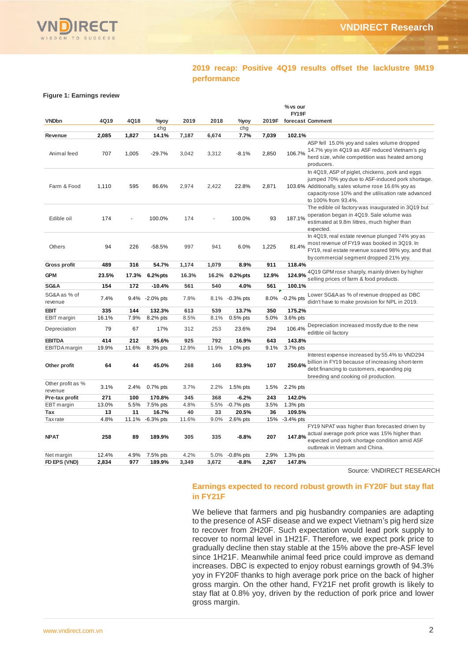

# **2019 recap: Positive 4Q19 results offset the lacklustre 9M19 performance**

#### **Figure 1: Earnings review**

|                              |       |       |                 |       |       |             |       | % vs our       |                                                                                                                                                                                                                                          |
|------------------------------|-------|-------|-----------------|-------|-------|-------------|-------|----------------|------------------------------------------------------------------------------------------------------------------------------------------------------------------------------------------------------------------------------------------|
|                              |       |       |                 |       |       |             |       | FY19F          |                                                                                                                                                                                                                                          |
| <b>VNDbn</b>                 | 4Q19  | 4Q18  | %yoy            | 2019  | 2018  | %yoy        | 2019F |                | forecast Comment                                                                                                                                                                                                                         |
|                              | 2,085 | 1,827 | chg<br>14.1%    | 7,187 |       | chg<br>7.7% | 7,039 | 102.1%         |                                                                                                                                                                                                                                          |
| Revenue                      |       |       |                 |       | 6,674 |             |       |                | ASP fell 15.0% yoy and sales volume dropped                                                                                                                                                                                              |
| Animal feed                  | 707   | 1,005 | $-29.7%$        | 3,042 | 3,312 | $-8.1%$     | 2,850 | 106.7%         | 14.7% yoy in 4Q19 as ASF reduced Vietnam's pig<br>herd size, while competition was heated among<br>producers.                                                                                                                            |
| Farm & Food                  | 1,110 | 595   | 86.6%           | 2,974 | 2,422 | 22.8%       | 2,871 |                | In 4Q19, ASP of piglet, chickens, pork and eggs<br>jumped 70% yoy due to ASF-induced pork shortage.<br>103.6% Additionally, sales volume rose 16.6% yoy as<br>capacity rose 10% and the utilisation rate advanced<br>to 100% from 93.4%. |
| Edible oil                   | 174   |       | 100.0%          | 174   |       | 100.0%      | 93    | 187.1%         | The edible oil factory was inaugurated in 3Q19 but<br>operation began in 4Q19. Sale volume was<br>estimated at 9.8m littres, much higher than<br>expected.                                                                               |
| Others                       | 94    | 226   | $-58.5%$        | 997   | 941   | 6.0%        | 1,225 | 81.4%          | In 4Q19, real estate revenue plunged 74% yoy as<br>most revenue of FY19 was booked in 3Q19. In<br>FY19, real estate revenue soared 98% yoy, and that<br>by commercial segment dropped 21% yoy.                                           |
| <b>Gross profit</b>          | 489   | 316   | 54.7%           | 1,174 | 1,079 | 8.9%        | 911   | 118.4%         |                                                                                                                                                                                                                                          |
| <b>GPM</b>                   | 23.5% | 17.3% | $6.2%$ pts      | 16.3% | 16.2% | $0.2%$ pts  | 12.9% | 124.9%         | 4Q19 GPM rose sharply, mainly driven by higher<br>selling prices of farm & food products.                                                                                                                                                |
| SG&A                         | 154   | 172   | $-10.4%$        | 561   | 540   | 4.0%        | 561   | 100.1%         |                                                                                                                                                                                                                                          |
| SG&A as % of<br>revenue      | 7.4%  |       | 9.4% -2.0% pts  | 7.8%  | 8.1%  | $-0.3%$ pts |       | 8.0% -0.2% pts | Lower SG&A as % of revenue dropped as DBC<br>didn't have to make provision for NPL in 2019.                                                                                                                                              |
| <b>EBIT</b>                  | 335   | 144   | 132.3%          | 613   | 539   | 13.7%       | 350   | 175.2%         |                                                                                                                                                                                                                                          |
| <b>EBIT</b> margin           | 16.1% | 7.9%  | 8.2% pts        | 8.5%  | 8.1%  | $0.5%$ pts  | 5.0%  | 3.6% pts       |                                                                                                                                                                                                                                          |
| Depreciation                 | 79    | 67    | 17%             | 312   | 253   | 23.6%       | 294   | 106.4%         | Depreciation increased mostly due to the new<br>editble oil factory                                                                                                                                                                      |
| <b>EBITDA</b>                | 414   | 212   | 95.6%           | 925   | 792   | 16.9%       | 643   | 143.8%         |                                                                                                                                                                                                                                          |
| EBITDA margin                | 19.9% | 11.6% | 8.3% pts        | 12.9% | 11.9% | 1.0% pts    | 9.1%  | 3.7% pts       |                                                                                                                                                                                                                                          |
| Other profit                 | 64    | 44    | 45.0%           | 268   | 146   | 83.9%       | 107   | 250.6%         | Interest expense increased by 55.4% to VND294<br>billion in FY19 because of increasing short-term<br>debt financing to customers, expanding pig<br>breeding and cooking oil production.                                                  |
| Other profit as %<br>revenue | 3.1%  | 2.4%  | $0.7\%$ pts     | 3.7%  | 2.2%  | $1.5\%$ pts | 1.5%  | 2.2% pts       |                                                                                                                                                                                                                                          |
| Pre-tax profit               | 271   | 100   | 170.8%          | 345   | 368   | $-6.2%$     | 243   | 142.0%         |                                                                                                                                                                                                                                          |
| <b>EBT</b> margin            | 13.0% | 5.5%  | 7.5% pts        | 4.8%  | 5.5%  | $-0.7%$ pts | 3.5%  | 1.3% pts       |                                                                                                                                                                                                                                          |
| Tax                          | 13    | 11    | 16.7%           | 40    | 33    | 20.5%       | 36    | 109.5%         |                                                                                                                                                                                                                                          |
| <b>Tax</b> rate              | 4.8%  |       | 11.1% -6.3% pts | 11.6% | 9.0%  | 2.6% pts    | 15%   | -3.4% pts      |                                                                                                                                                                                                                                          |
| <b>NPAT</b>                  | 258   | 89    | 189.9%          | 305   | 335   | $-8.8%$     | 207   | 147.8%         | FY19 NPAT was higher than forecasted driven by<br>actual average pork price was 15% higher than<br>expected und pork shortage condition amid ASF<br>outbreak in Vietnam and China.                                                       |
| Net margin                   | 12.4% | 4.9%  | 7.5% pts        | 4.2%  | 5.0%  | $-0.8%$ pts | 2.9%  | 1.3% pts       |                                                                                                                                                                                                                                          |
| FD EPS (VND)                 | 2,834 | 977   | 189.9%          | 3,349 | 3,672 | $-8.8%$     | 2,267 | 147.8%         |                                                                                                                                                                                                                                          |

Source: VNDIRECT RESEARCH

#### **Earnings expected to record robust growth in FY20F but stay flat in FY21F**

We believe that farmers and pig husbandry companies are adapting to the presence of ASF disease and we expect Vietnam's pig herd size to recover from 2H20F. Such expectation would lead pork supply to recover to normal level in 1H21F. Therefore, we expect pork price to gradually decline then stay stable at the 15% above the pre-ASF level since 1H21F. Meanwhile animal feed price could improve as demand increases. DBC is expected to enjoy robust earnings growth of 94.3% yoy in FY20F thanks to high average pork price on the back of higher gross margin. On the other hand, FY21F net profit growth is likely to stay flat at 0.8% yoy, driven by the reduction of pork price and lower gross margin.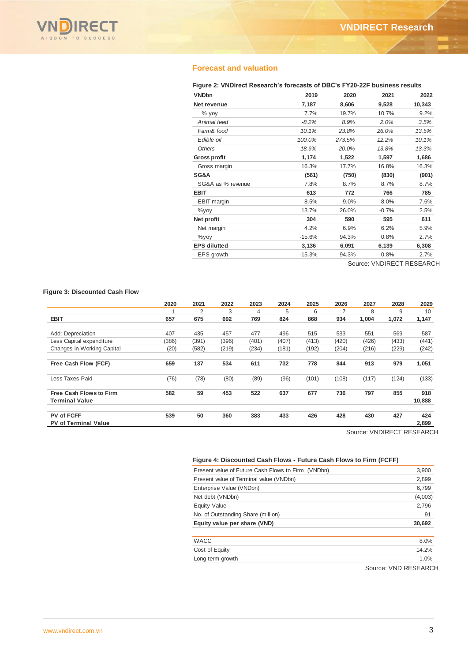

# **Forecast and valuation**

#### **Figure 2: VNDirect Research's forecasts of DBC's FY20-22F business results**

|          |                       |                        | 2022                   |
|----------|-----------------------|------------------------|------------------------|
|          |                       |                        | 10,343                 |
|          |                       |                        |                        |
|          |                       |                        | 9.2%                   |
| $-8.2%$  | 8.9%                  | 2.0%                   | 3.5%                   |
| 10.1%    | 23.8%                 | 26.0%                  | 13.5%                  |
| 100.0%   | 273.5%                | 12.2%                  | 10.1%                  |
| 18.9%    | 20.0%                 | 13.8%                  | 13.3%                  |
| 1,174    | 1,522                 | 1,597                  | 1,686                  |
| 16.3%    | 17.7%                 | 16.8%                  | 16.3%                  |
| (561)    | (750)                 | (830)                  | (901)                  |
| 7.8%     | 8.7%                  | 8.7%                   | 8.7%                   |
| 613      | 772                   | 766                    | 785                    |
| 8.5%     | 9.0%                  | 8.0%                   | 7.6%                   |
| 13.7%    | 26.0%                 | $-0.7%$                | 2.5%                   |
| 304      | 590                   | 595                    | 611                    |
| 4.2%     | 6.9%                  | 6.2%                   | 5.9%                   |
| $-15.6%$ | 94.3%                 | 0.8%                   | 2.7%                   |
| 3,136    | 6,091                 | 6,139                  | 6,308                  |
| $-15.3%$ | 94.3%                 | 0.8%                   | 2.7%                   |
|          | 2019<br>7,187<br>7.7% | 2020<br>8,606<br>19.7% | 2021<br>9,528<br>10.7% |

Source: VNDIRECT RESEARCH

#### **Figure 3: Discounted Cash Flow**

|                                | 2020  | 2021  | 2022  | 2023  | 2024  | 2025  | 2026  | 2027  | 2028  | 2029   |
|--------------------------------|-------|-------|-------|-------|-------|-------|-------|-------|-------|--------|
|                                |       | 2     | 3     | 4     | 5     | 6     |       | 8     | 9     | 10     |
| <b>EBIT</b>                    | 657   | 675   | 692   | 769   | 824   | 868   | 934   | 1,004 | 1,072 | 1,147  |
| Add: Depreciation              | 407   | 435   | 457   | 477   | 496   | 515   | 533   | 551   | 569   | 587    |
| Less Capital expenditure       | (386) | (391) | (396) | (401) | (407) | (413) | (420) | (426) | (433) | (441)  |
| Changes in Working Capital     | (20)  | (582) | (219) | (234) | (181) | (192) | (204) | (216) | (229) | (242)  |
| Free Cash Flow (FCF)           | 659   | 137   | 534   | 611   | 732   | 778   | 844   | 913   | 979   | 1,051  |
| Less Taxes Paid                | (76)  | (78)  | (80)  | (89)  | (96)  | (101) | (108) | (117) | (124) | (133)  |
| <b>Free Cash Flows to Firm</b> | 582   | 59    | 453   | 522   | 637   | 677   | 736   | 797   | 855   | 918    |
| <b>Terminal Value</b>          |       |       |       |       |       |       |       |       |       | 10,888 |
| PV of FCFF                     | 539   | 50    | 360   | 383   | 433   | 426   | 428   | 430   | 427   | 424    |
| <b>PV of Terminal Value</b>    |       |       |       |       |       |       |       |       |       | 2,899  |

Source: VNDIRECT RESEARCH

## **Figure 4: Discounted Cash Flows - Future Cash Flows to Firm (FCFF)**

| Present value of Future Cash Flows to Firm (VNDbn) | 3,900   |
|----------------------------------------------------|---------|
| Present value of Terminal value (VNDbn)            | 2,899   |
| Enterprise Value (VNDbn)                           | 6,799   |
| Net debt (VNDbn)                                   | (4,003) |
| <b>Equity Value</b>                                | 2,796   |
| No. of Outstanding Share (million)                 | 91      |
| Equity value per share (VND)                       | 30,692  |
| <b>WACC</b>                                        | 8.0%    |
| Cost of Equity                                     | 14.2%   |
| Long-term growth                                   | 1.0%    |

Source: VND RESEARCH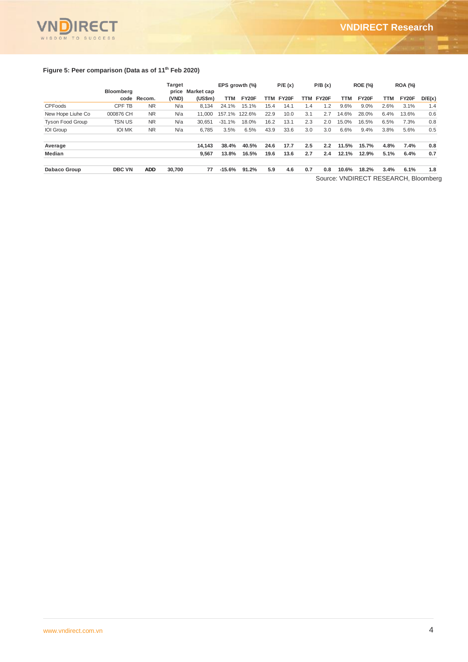

## **Figure 5: Peer comparison (Data as of 11th Feb 2020)**

|                         | <b>Bloomberg</b> |             | Target | price Market cap |          | EPS growth (%) |      | P/E(x)    |     | P/B(x)    |       | <b>ROE (%)</b>                      |      | <b>ROA (%)</b> |        |
|-------------------------|------------------|-------------|--------|------------------|----------|----------------|------|-----------|-----|-----------|-------|-------------------------------------|------|----------------|--------|
|                         |                  | code Recom. | (VND)  | (US\$m)          | TTM      | FY20F          |      | TTM FY20F |     | TTM FY20F | TTM   | FY20F                               | TTM  | FY20F          | D/E(x) |
| <b>CPFoods</b>          | CPF TB           | <b>NR</b>   | N/a    | 8.134            | 24.1%    | 15.1%          | 15.4 | 14.1      | 1.4 | 1.2       | 9.6%  | $9.0\%$                             | 2.6% | 3.1%           | 1.4    |
| New Hope Liuhe Co       | 000876 CH        | <b>NR</b>   | N/a    | 11.000           | 157.1%   | 122.6%         | 22.9 | 10.0      | 3.1 | 2.7       | 14.6% | 28.0%                               | 6.4% | 13.6%          | 0.6    |
| <b>Tyson Food Group</b> | <b>TSN US</b>    | <b>NR</b>   | N/a    | 30.651           | $-31.1%$ | 18.0%          | 16.2 | 13.1      | 2.3 | 2.0       | 15.0% | 16.5%                               | 6.5% | 7.3%           | 0.8    |
| <b>IOI</b> Group        | <b>IOI MK</b>    | <b>NR</b>   | N/a    | 6.785            | 3.5%     | 6.5%           | 43.9 | 33.6      | 3.0 | 3.0       | 6.6%  | 9.4%                                | 3.8% | 5.6%           | 0.5    |
| Average                 |                  |             |        | 14.143           | 38.4%    | 40.5%          | 24.6 | 17.7      | 2.5 | 2.2       | 11.5% | 15.7%                               | 4.8% | 7.4%           | 0.8    |
| <b>Median</b>           |                  |             |        | 9,567            | 13.8%    | 16.5%          | 19.6 | 13.6      | 2.7 | 2.4       | 12.1% | 12.9%                               | 5.1% | 6.4%           | 0.7    |
| Dabaco Group            | <b>DBC VN</b>    | <b>ADD</b>  | 30,700 | 77               | $-15.6%$ | 91.2%          | 5.9  | 4.6       | 0.7 | 0.8       | 10.6% | 18.2%                               | 3.4% | 6.1%           | 1.8    |
|                         |                  |             |        |                  |          |                |      |           |     |           |       | Cource: VNDIDECT DECEADCH Bloomborg |      |                |        |

Source: VNDIRECT RESEARCH, Bloomberg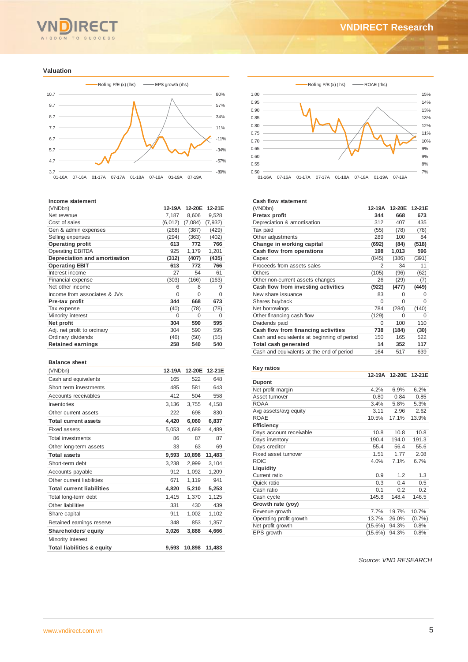# WISDOM TO SUCCESS

#### **Valuation**



#### **Income statement**

| (VNDbn)                       | 12-19A  | 12-20E   | 12-21E   |
|-------------------------------|---------|----------|----------|
| Net revenue                   | 7,187   | 8,606    | 9,528    |
| Cost of sales                 | (6,012) | (7,084)  | (7, 932) |
| Gen & admin expenses          | (268)   | (387)    | (429)    |
| Selling expenses              | (294)   | (363)    | (402)    |
| <b>Operating profit</b>       | 613     | 772      | 766      |
| <b>Operating EBITDA</b>       | 925     | 1,179    | 1,201    |
| Depreciation and amortisation | (312)   | (407)    | (435)    |
| <b>Operating EBIT</b>         | 613     | 772      | 766      |
| Interest income               | 27      | 54       | 61       |
| Financial expense             | (303)   | (166)    | (163)    |
| Net other income              | 6       | 8        | 9        |
| Income from associates & JVs  | 0       | $\Omega$ | $\Omega$ |
| Pre-tax profit                | 344     | 668      | 673      |
| Tax expense                   | (40)    | (78)     | (78)     |
| Minority interest             | 0       | $\Omega$ | 0        |
| Net profit                    | 304     | 590      | 595      |
| Adj. net profit to ordinary   | 304     | 590      | 595      |
| Ordinary dividends            | (46)    | (50)     | (55)     |
| <b>Retained earnings</b>      | 258     | 540      | 540      |

#### **Balance sheet**

| (VNDbn)                               | 12-19A | 12-20E | 12-21E |
|---------------------------------------|--------|--------|--------|
| Cash and equivalents                  | 165    | 522    | 648    |
| Short term investments                | 485    | 581    | 643    |
| Accounts receivables                  | 412    | 504    | 558    |
| Inventories                           | 3,136  | 3,755  | 4,158  |
| Other current assets                  | 222    | 698    | 830    |
| <b>Total current assets</b>           | 4,420  | 6,060  | 6,837  |
| <b>Fixed assets</b>                   | 5,053  | 4.689  | 4,489  |
| <b>Total investments</b>              | 86     | 87     | 87     |
| Other long-term assets                | 33     | 63     | 69     |
| <b>Total assets</b>                   | 9,593  | 10,898 | 11,483 |
| Short-term debt                       | 3,238  | 2,999  | 3.104  |
| Accounts payable                      | 912    | 1,092  | 1,209  |
| Other current liabilities             | 671    | 1,119  | 941    |
| <b>Total current liabilities</b>      | 4,820  | 5,210  | 5,253  |
| Total long-term debt                  | 1.415  | 1.370  | 1.125  |
| Other liabilities                     | 331    | 430    | 439    |
| Share capital                         | 911    | 1.002  | 1,102  |
| Retained earnings reserve             | 348    | 853    | 1,357  |
| Shareholders' equity                  | 3,026  | 3,888  | 4,666  |
| Minority interest                     |        |        |        |
| <b>Total liabilities &amp; equity</b> | 9.593  | 10,898 | 11,483 |



#### **Cash flow statement**

| oa sii 11 o waa centru n                    |          |        |        |
|---------------------------------------------|----------|--------|--------|
| (VNDbn)                                     | 12-19A   | 12-20E | 12-21E |
| <b>Pretax profit</b>                        | 344      | 668    | 673    |
| Depreciation & amortisation                 | 312      | 407    | 435    |
| Tax paid                                    | (55)     | (78)   | (78)   |
| Other adjustments                           | 289      | 100    | 84     |
| Change in working capital                   | (692)    | (84)   | (518)  |
| Cash flow from operations                   | 198      | 1,013  | 596    |
| Capex                                       | (845)    | (386)  | (391)  |
| Proceeds from assets sales                  | 2        | 34     | 11     |
| Others                                      | (105)    | (96)   | (62)   |
| Other non-current assets changes            | 26       | (29)   | (7)    |
| Cash flow from investing activities         | (922)    | (477)  | (449)  |
| New share issuance                          | 83       | 0      | 0      |
| Shares buyback                              | $\Omega$ | 0      | 0      |
| Net borrowings                              | 784      | (284)  | (140)  |
| Other financing cash flow                   | (129)    | 0      | 0      |
| Dividends paid                              | 0        | 100    | 110    |
| Cash flow from financing activities         | 738      | (184)  | (30)   |
| Cash and equivalents at beginning of period | 150      | 165    | 522    |
| Total cash generated                        | 14       | 352    | 117    |
| Cash and equivalents at the end of period   | 164      | 517    | 639    |

#### **Key ratios**

|                         | 12-19A     | 12-20E | 12-21E |
|-------------------------|------------|--------|--------|
| <b>Dupont</b>           |            |        |        |
| Net profit margin       | 4.2%       | 6.9%   | 6.2%   |
| Asset turnover          | 0.80       | 0.84   | 0.85   |
| <b>ROAA</b>             | 3.4%       | 5.8%   | 5.3%   |
| Avg assets/avg equity   | 3.11       | 2.96   | 2.62   |
| <b>ROAE</b>             | 10.5%      | 17.1%  | 13.9%  |
| Efficiency              |            |        |        |
| Days account receivable | 10.8       | 10.8   | 10.8   |
| Days inventory          | 190.4      | 194.0  | 191.3  |
| Days creditor           | 55.4       | 56.4   | 55.6   |
| Fixed asset turnover    | 1.51       | 1.77   | 2.08   |
| <b>ROIC</b>             | 4.0%       | 7.1%   | 6.7%   |
| Liquidity               |            |        |        |
| Current ratio           | 0.9        | 1.2    | 1.3    |
| Quick ratio             | 0.3        | 0.4    | 0.5    |
| Cash ratio              | 0.1        | 0.2    | 0.2    |
| Cash cycle              | 145.8      | 148.4  | 146.5  |
| Growth rate (yoy)       |            |        |        |
| Revenue growth          | 7.7%       | 19.7%  | 10.7%  |
| Operating profit growth | 13.7%      | 26.0%  | (0.7%  |
| Net profit growth       | $(15.6\%)$ | 94.3%  | 0.8%   |
| EPS growth              | $(15.6\%)$ | 94.3%  | 0.8%   |

*Source: VND RESEARCH*